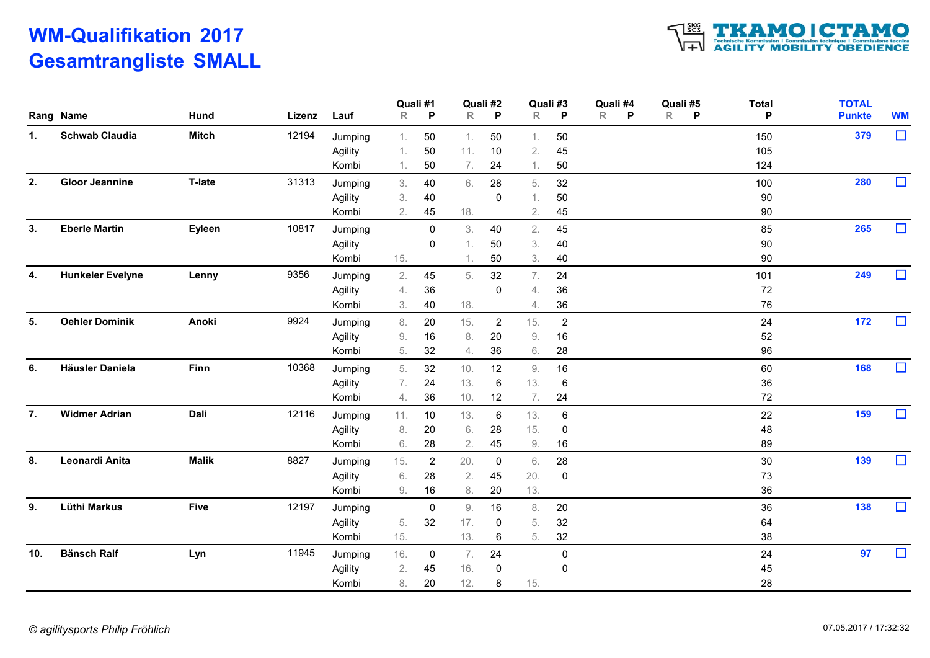## WM-Qualifikation 2017 Gesamtrangliste SMALL



|     | Rang Name               | Hund         | Lizenz | Lauf    | $\mathsf{R}$ | Quali #1<br>P  | $\mathsf R$ | Quali #2<br>P  | $\mathsf{R}$ | Quali #3<br>P  | Quali #4<br>$\mathsf{R}$<br>P | Quali #5<br>$\mathsf{R}$<br><b>P</b> | <b>Total</b><br>P | <b>TOTAL</b><br><b>Punkte</b> | <b>WM</b> |
|-----|-------------------------|--------------|--------|---------|--------------|----------------|-------------|----------------|--------------|----------------|-------------------------------|--------------------------------------|-------------------|-------------------------------|-----------|
| 1.  | <b>Schwab Claudia</b>   | <b>Mitch</b> | 12194  | Jumping | 1.           | $50\,$         | 1.          | 50             | 1.           | 50             |                               |                                      | 150               | 379                           | $\Box$    |
|     |                         |              |        | Agility | 1.           | 50             | 11.         | 10             | 2.           | 45             |                               |                                      | 105               |                               |           |
|     |                         |              |        | Kombi   | 1.           | 50             | 7.          | 24             | 1.           | 50             |                               |                                      | 124               |                               |           |
| 2.  | <b>Gloor Jeannine</b>   | T-late       | 31313  | Jumping | 3.           | 40             | 6.          | 28             | 5.           | 32             |                               |                                      | 100               | 280                           | $\Box$    |
|     |                         |              |        | Agility | 3.           | 40             |             | 0              |              | $50\,$         |                               |                                      | 90                |                               |           |
|     |                         |              |        | Kombi   | 2.           | 45             | 18.         |                | 2.           | 45             |                               |                                      | 90                |                               |           |
| 3.  | <b>Eberle Martin</b>    | Eyleen       | 10817  | Jumping |              | $\mathbf 0$    | 3.          | 40             | 2.           | 45             |                               |                                      | 85                | 265                           | $\Box$    |
|     |                         |              |        | Agility |              | $\mathbf 0$    | 1.          | 50             | 3.           | 40             |                               |                                      | 90                |                               |           |
|     |                         |              |        | Kombi   | 15.          |                | 1.          | 50             | 3.           | 40             |                               |                                      | 90                |                               |           |
| 4.  | <b>Hunkeler Evelyne</b> | Lenny        | 9356   | Jumping | 2.           | 45             | 5.          | 32             | 7.           | 24             |                               |                                      | 101               | 249                           | $\Box$    |
|     |                         |              |        | Agility | 4.           | $36\,$         |             | 0              | 4.           | 36             |                               |                                      | 72                |                               |           |
|     |                         |              |        | Kombi   | 3.           | 40             | 18.         |                | 4.           | 36             |                               |                                      | 76                |                               |           |
| 5.  | <b>Oehler Dominik</b>   | Anoki        | 9924   | Jumping | 8.           | 20             | 15.         | $\overline{2}$ | 15.          | $\overline{2}$ |                               |                                      | 24                | 172                           | $\Box$    |
|     |                         |              |        | Agility | 9.           | 16             | 8.          | 20             | 9.           | 16             |                               |                                      | 52                |                               |           |
|     |                         |              |        | Kombi   | 5.           | 32             | 4.          | 36             | 6.           | 28             |                               |                                      | 96                |                               |           |
| 6.  | Häusler Daniela         | <b>Finn</b>  | 10368  | Jumping | 5.           | 32             | 10.         | 12             | 9.           | 16             |                               |                                      | 60                | 168                           | $\Box$    |
|     |                         |              |        | Agility | 7.           | 24             | 13.         | 6              | 13.          | 6              |                               |                                      | 36                |                               |           |
|     |                         |              |        | Kombi   | 4.           | 36             | 10.         | 12             | 7.           | 24             |                               |                                      | 72                |                               |           |
| 7.  | <b>Widmer Adrian</b>    | Dali         | 12116  | Jumping | 11.          | 10             | 13.         | 6              | 13.          | 6              |                               |                                      | 22                | 159                           | $\Box$    |
|     |                         |              |        | Agility | 8.           | 20             | 6.          | 28             | 15.          | 0              |                               |                                      | 48                |                               |           |
|     |                         |              |        | Kombi   | 6.           | 28             | 2.          | 45             | $9. \,$      | 16             |                               |                                      | 89                |                               |           |
| 8.  | Leonardi Anita          | <b>Malik</b> | 8827   | Jumping | 15.          | $\overline{2}$ | 20.         | $\mathbf 0$    | 6.           | 28             |                               |                                      | 30                | 139                           | $\Box$    |
|     |                         |              |        | Agility | 6.           | 28             | 2.          | 45             | 20.          | 0              |                               |                                      | 73                |                               |           |
|     |                         |              |        | Kombi   | 9.           | 16             | 8.          | 20             | 13.          |                |                               |                                      | 36                |                               |           |
| 9.  | Lüthi Markus            | <b>Five</b>  | 12197  | Jumping |              | $\mathbf 0$    | $9. \,$     | 16             | 8.           | 20             |                               |                                      | 36                | 138                           | $\Box$    |
|     |                         |              |        | Agility | 5.           | 32             | 17.         | $\mathbf 0$    | 5.           | 32             |                               |                                      | 64                |                               |           |
|     |                         |              |        | Kombi   | 15.          |                | 13.         | 6              | 5.           | 32             |                               |                                      | 38                |                               |           |
| 10. | <b>Bänsch Ralf</b>      | Lyn          | 11945  | Jumping | 16.          | 0              | 7.          | 24             |              | $\mathbf 0$    |                               |                                      | 24                | 97                            | $\Box$    |
|     |                         |              |        | Agility | 2.           | 45             | 16.         | 0              |              | 0              |                               |                                      | 45                |                               |           |
|     |                         |              |        | Kombi   | 8.           | 20             | 12.         | 8              | 15.          |                |                               |                                      | 28                |                               |           |
|     |                         |              |        |         |              |                |             |                |              |                |                               |                                      |                   |                               |           |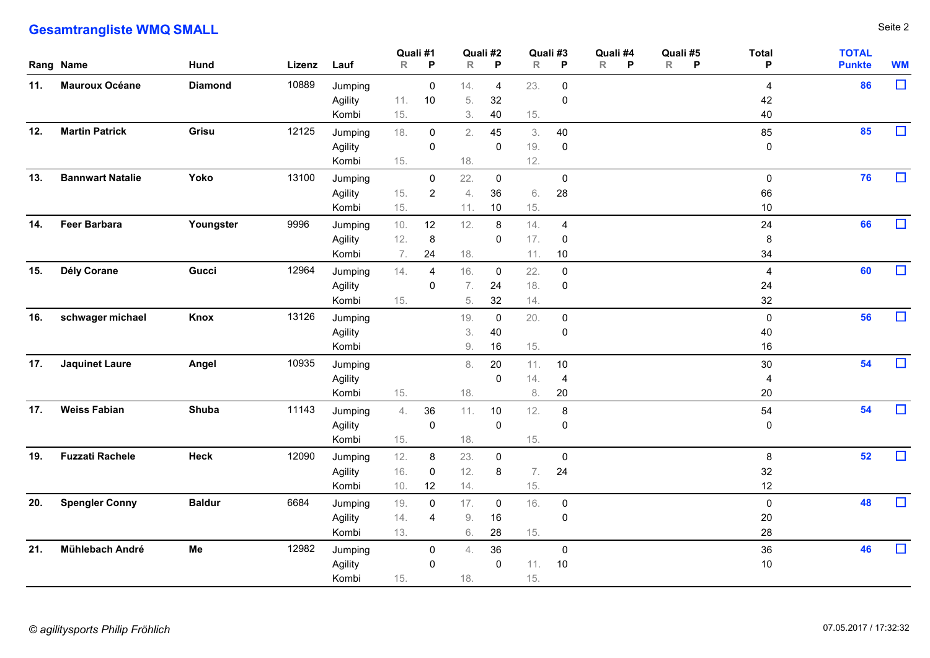## **Gesamtrangliste WMQ SMALL** Seite 2

| <b>Gesamtrangliste WMQ SMALL</b><br>Quali #4<br><b>TOTAL</b><br>Quali #2<br>Quali #3<br>Quali #5<br><b>Total</b><br>Quali #1<br>Hund<br>$\mathsf{R}$<br>$\mathsf{R}$<br>P<br>R<br>$\mathsf{P}$<br>R<br>P<br>R<br><b>Punkte</b><br>Rang Name<br>Lizenz Lauf<br>- P<br>- P<br>P<br><b>Mauroux Océane</b><br>10889<br>86<br>11.<br><b>Diamond</b><br>23.<br>Jumping<br>$\mathbf 0$<br>14.<br>$\mathbf 0$<br>$\overline{4}$<br>-4<br>10<br>5.<br>32<br>11.<br>42<br>Agility<br>0<br>15.<br>3.<br>15.<br>40<br>Kombi<br>40<br>85<br><b>Martin Patrick</b><br>Grisu<br>12125<br>12.<br>18.<br>2.<br>45<br>40<br>85<br>Jumping<br>$\overline{0}$<br>3.<br>19.<br>Agility<br>$\mathbf 0$<br>$\mathbf 0$<br>$\mathbf 0$<br>$\mathbf 0$<br>12.<br>15.<br>18.<br>Kombi<br>76<br>13.<br><b>Bannwart Natalie</b><br>Yoko<br>13100<br>22.<br>Jumping<br>$\overline{0}$<br>$\mathbf 0$<br>$\mathbf 0$<br>0<br>15.<br>36<br>28<br>Agility<br>$\overline{2}$<br>6.<br>66<br>4.<br>15.<br>15.<br>10 <sub>1</sub><br>Kombi<br>11.<br>10<br>66<br><b>Feer Barbara</b><br>14.<br>Youngster<br>9996<br>24<br>10.<br>12<br>12.<br>8<br>14.<br>Jumping<br>$\overline{4}$<br>12.<br>8<br>17.<br>Agility<br>0<br>0<br>8<br>34<br>7.<br>24<br>18.<br>10<br>Kombi<br>11.<br>Dély Corane<br>60<br>15.<br>Gucci<br>12964<br>Jumping<br>14.<br>16.<br>22.<br>$\mathbf 0$<br>$\Omega$<br>4<br>4 | Seite 2<br><b>WM</b><br>$\Box$<br>$\Box$ |
|-----------------------------------------------------------------------------------------------------------------------------------------------------------------------------------------------------------------------------------------------------------------------------------------------------------------------------------------------------------------------------------------------------------------------------------------------------------------------------------------------------------------------------------------------------------------------------------------------------------------------------------------------------------------------------------------------------------------------------------------------------------------------------------------------------------------------------------------------------------------------------------------------------------------------------------------------------------------------------------------------------------------------------------------------------------------------------------------------------------------------------------------------------------------------------------------------------------------------------------------------------------------------------------------------------------------------------------------------------------------|------------------------------------------|
|                                                                                                                                                                                                                                                                                                                                                                                                                                                                                                                                                                                                                                                                                                                                                                                                                                                                                                                                                                                                                                                                                                                                                                                                                                                                                                                                                                 |                                          |
|                                                                                                                                                                                                                                                                                                                                                                                                                                                                                                                                                                                                                                                                                                                                                                                                                                                                                                                                                                                                                                                                                                                                                                                                                                                                                                                                                                 |                                          |
|                                                                                                                                                                                                                                                                                                                                                                                                                                                                                                                                                                                                                                                                                                                                                                                                                                                                                                                                                                                                                                                                                                                                                                                                                                                                                                                                                                 |                                          |
|                                                                                                                                                                                                                                                                                                                                                                                                                                                                                                                                                                                                                                                                                                                                                                                                                                                                                                                                                                                                                                                                                                                                                                                                                                                                                                                                                                 |                                          |
|                                                                                                                                                                                                                                                                                                                                                                                                                                                                                                                                                                                                                                                                                                                                                                                                                                                                                                                                                                                                                                                                                                                                                                                                                                                                                                                                                                 |                                          |
|                                                                                                                                                                                                                                                                                                                                                                                                                                                                                                                                                                                                                                                                                                                                                                                                                                                                                                                                                                                                                                                                                                                                                                                                                                                                                                                                                                 |                                          |
|                                                                                                                                                                                                                                                                                                                                                                                                                                                                                                                                                                                                                                                                                                                                                                                                                                                                                                                                                                                                                                                                                                                                                                                                                                                                                                                                                                 |                                          |
|                                                                                                                                                                                                                                                                                                                                                                                                                                                                                                                                                                                                                                                                                                                                                                                                                                                                                                                                                                                                                                                                                                                                                                                                                                                                                                                                                                 |                                          |
|                                                                                                                                                                                                                                                                                                                                                                                                                                                                                                                                                                                                                                                                                                                                                                                                                                                                                                                                                                                                                                                                                                                                                                                                                                                                                                                                                                 |                                          |
|                                                                                                                                                                                                                                                                                                                                                                                                                                                                                                                                                                                                                                                                                                                                                                                                                                                                                                                                                                                                                                                                                                                                                                                                                                                                                                                                                                 |                                          |
|                                                                                                                                                                                                                                                                                                                                                                                                                                                                                                                                                                                                                                                                                                                                                                                                                                                                                                                                                                                                                                                                                                                                                                                                                                                                                                                                                                 |                                          |
|                                                                                                                                                                                                                                                                                                                                                                                                                                                                                                                                                                                                                                                                                                                                                                                                                                                                                                                                                                                                                                                                                                                                                                                                                                                                                                                                                                 |                                          |
|                                                                                                                                                                                                                                                                                                                                                                                                                                                                                                                                                                                                                                                                                                                                                                                                                                                                                                                                                                                                                                                                                                                                                                                                                                                                                                                                                                 |                                          |
|                                                                                                                                                                                                                                                                                                                                                                                                                                                                                                                                                                                                                                                                                                                                                                                                                                                                                                                                                                                                                                                                                                                                                                                                                                                                                                                                                                 | $\Box$                                   |
|                                                                                                                                                                                                                                                                                                                                                                                                                                                                                                                                                                                                                                                                                                                                                                                                                                                                                                                                                                                                                                                                                                                                                                                                                                                                                                                                                                 |                                          |
|                                                                                                                                                                                                                                                                                                                                                                                                                                                                                                                                                                                                                                                                                                                                                                                                                                                                                                                                                                                                                                                                                                                                                                                                                                                                                                                                                                 |                                          |
|                                                                                                                                                                                                                                                                                                                                                                                                                                                                                                                                                                                                                                                                                                                                                                                                                                                                                                                                                                                                                                                                                                                                                                                                                                                                                                                                                                 | $\Box$                                   |
|                                                                                                                                                                                                                                                                                                                                                                                                                                                                                                                                                                                                                                                                                                                                                                                                                                                                                                                                                                                                                                                                                                                                                                                                                                                                                                                                                                 |                                          |
|                                                                                                                                                                                                                                                                                                                                                                                                                                                                                                                                                                                                                                                                                                                                                                                                                                                                                                                                                                                                                                                                                                                                                                                                                                                                                                                                                                 | $\Box$                                   |
| 18.<br>Agility<br>24<br>24<br>$\mathbf 0$<br>7.<br>$\mathbf 0$                                                                                                                                                                                                                                                                                                                                                                                                                                                                                                                                                                                                                                                                                                                                                                                                                                                                                                                                                                                                                                                                                                                                                                                                                                                                                                  |                                          |
| 15.<br>5.<br>$32\,$<br>14.<br>32<br>Kombi<br>56<br>schwager michael<br>13126<br>16.<br>Knox<br>20.<br>Jumping<br>19.<br>$\mathbf 0$<br>$\mathbf 0$<br>$\overline{0}$                                                                                                                                                                                                                                                                                                                                                                                                                                                                                                                                                                                                                                                                                                                                                                                                                                                                                                                                                                                                                                                                                                                                                                                            | $\Box$                                   |
| Agility<br>3.<br>40<br>40<br>$\mathbf 0$                                                                                                                                                                                                                                                                                                                                                                                                                                                                                                                                                                                                                                                                                                                                                                                                                                                                                                                                                                                                                                                                                                                                                                                                                                                                                                                        |                                          |
| 16<br>Kombi<br>9.<br>16<br>15.                                                                                                                                                                                                                                                                                                                                                                                                                                                                                                                                                                                                                                                                                                                                                                                                                                                                                                                                                                                                                                                                                                                                                                                                                                                                                                                                  |                                          |
| 54<br>17. Jaquinet Laure<br>10935<br>Angel<br>Jumping<br>20<br>11.<br>$30\,$<br>8.<br>10<br>14.<br>$\mathsf 0$<br>Agility<br>$\overline{4}$<br>4                                                                                                                                                                                                                                                                                                                                                                                                                                                                                                                                                                                                                                                                                                                                                                                                                                                                                                                                                                                                                                                                                                                                                                                                                | $\Box$                                   |
| 20<br>Kombi<br>15.<br>18.<br>8.<br>20                                                                                                                                                                                                                                                                                                                                                                                                                                                                                                                                                                                                                                                                                                                                                                                                                                                                                                                                                                                                                                                                                                                                                                                                                                                                                                                           |                                          |
| 54<br>17.<br><b>Weiss Fabian</b><br>Shuba<br>11143<br>36<br>11.<br>12.<br>54<br>Jumping<br>4.<br>10<br>8                                                                                                                                                                                                                                                                                                                                                                                                                                                                                                                                                                                                                                                                                                                                                                                                                                                                                                                                                                                                                                                                                                                                                                                                                                                        | $\Box$                                   |
| $\mathsf 0$<br>Agility<br>$\mathbf 0$<br>$\mathbf 0$<br>$\mathbf 0$<br>Kombi<br>15.<br>18.<br>15.                                                                                                                                                                                                                                                                                                                                                                                                                                                                                                                                                                                                                                                                                                                                                                                                                                                                                                                                                                                                                                                                                                                                                                                                                                                               |                                          |
| 52<br>19. Fuzzati Rachele<br>Heck<br>12.<br>12090<br>Jumping<br>23.<br>$\mathbf 0$<br>8<br>8<br>$\mathbf 0$                                                                                                                                                                                                                                                                                                                                                                                                                                                                                                                                                                                                                                                                                                                                                                                                                                                                                                                                                                                                                                                                                                                                                                                                                                                     | $\Box$                                   |
| 12.<br>24<br>16.<br>32<br>7.<br>Agility<br>$\mathsf 0$<br>8                                                                                                                                                                                                                                                                                                                                                                                                                                                                                                                                                                                                                                                                                                                                                                                                                                                                                                                                                                                                                                                                                                                                                                                                                                                                                                     |                                          |
| 10.<br>12<br>Kombi<br>12<br>14.<br>15.<br>48<br><b>Spengler Conny</b><br>20.<br><b>Baldur</b><br>6684<br>19.<br>17.<br>16.<br>Jumping<br>$\mathbf 0$<br>$\mathbf 0$<br>$\mathbf 0$<br>$\mathbf 0$                                                                                                                                                                                                                                                                                                                                                                                                                                                                                                                                                                                                                                                                                                                                                                                                                                                                                                                                                                                                                                                                                                                                                               | $\Box$                                   |
| 14.<br>$9. \,$<br>20<br>Agility<br>16<br>$\mathbf 0$<br>$\overline{4}$                                                                                                                                                                                                                                                                                                                                                                                                                                                                                                                                                                                                                                                                                                                                                                                                                                                                                                                                                                                                                                                                                                                                                                                                                                                                                          |                                          |
| 13.<br>$6. \,$<br>28<br>15.<br>28<br>Kombi                                                                                                                                                                                                                                                                                                                                                                                                                                                                                                                                                                                                                                                                                                                                                                                                                                                                                                                                                                                                                                                                                                                                                                                                                                                                                                                      |                                          |
| 46<br>21. Mühlebach André<br>Me<br>12982<br>36<br>36<br>Jumping<br>$\mathbf 0$<br>$\overline{0}$<br>4.<br>11.<br>10<br>10<br>Agility<br>$\overline{0}$<br>$\mathbf 0$                                                                                                                                                                                                                                                                                                                                                                                                                                                                                                                                                                                                                                                                                                                                                                                                                                                                                                                                                                                                                                                                                                                                                                                           | $\Box$                                   |
| 15.<br>Kombi<br>15.<br>18.                                                                                                                                                                                                                                                                                                                                                                                                                                                                                                                                                                                                                                                                                                                                                                                                                                                                                                                                                                                                                                                                                                                                                                                                                                                                                                                                      |                                          |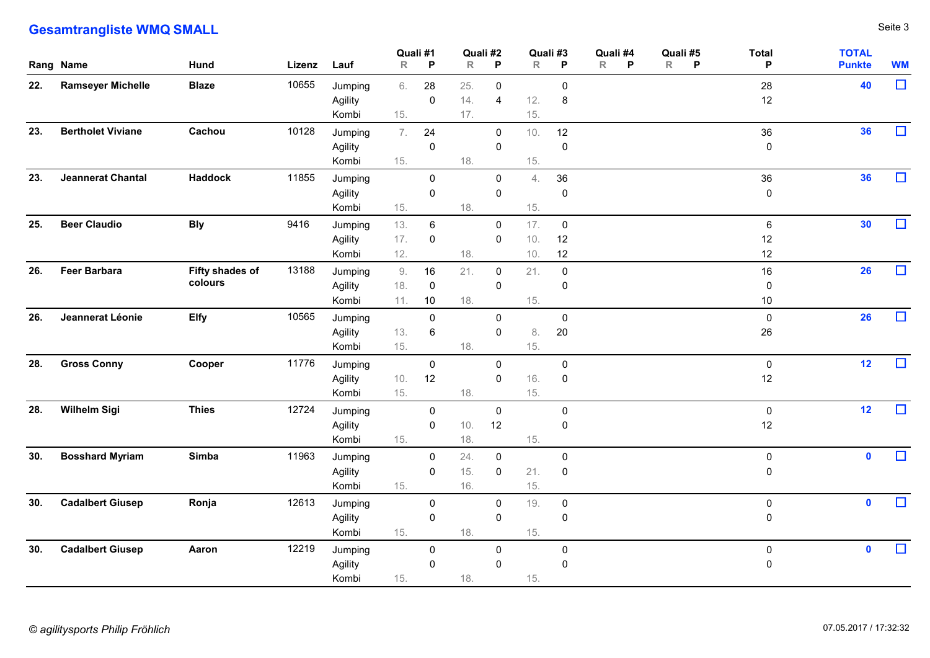## **Gesamtrangliste WMQ SMALL** Seite 3

|     | <b>Gesamtrangliste WMQ SMALL</b> |                            |       |                             |                   |                                |                         |                               |                   |                                    |                               |                     |                             |                               | Seite 3   |
|-----|----------------------------------|----------------------------|-------|-----------------------------|-------------------|--------------------------------|-------------------------|-------------------------------|-------------------|------------------------------------|-------------------------------|---------------------|-----------------------------|-------------------------------|-----------|
|     | Rang Name                        | Hund                       |       | Lizenz Lauf                 | Quali #1<br>R     | P                              | Quali #2<br>$\mathsf R$ | P                             | Quali #3<br>R     | $\mathsf{P}$                       | Quali #4<br>$\mathsf{R}$<br>P | Quali #5<br>$R$ $P$ | <b>Total</b><br>P           | <b>TOTAL</b><br><b>Punkte</b> | <b>WM</b> |
| 22. | <b>Ramseyer Michelle</b>         | <b>Blaze</b>               | 10655 | Jumping<br>Agility<br>Kombi | 6.<br>15.         | 28<br>$\mathbf 0$              | 25.<br>14.<br>17.       | $\mathbf 0$<br>$\overline{4}$ | 12.<br>15.        | $\overline{0}$<br>8                |                               |                     | 28<br>12                    | 40                            | $\Box$    |
| 23. | <b>Bertholet Viviane</b>         | Cachou                     | 10128 | Jumping<br>Agility<br>Kombi | 7.<br>15.         | 24<br>$\pmb{0}$                | 18.                     | $\mathbf 0$<br>$\mathbf 0$    | 10.<br>15.        | 12<br>$\pmb{0}$                    |                               |                     | 36<br>$\mathbf 0$           | 36                            | $\Box$    |
| 23. | Jeannerat Chantal                | <b>Haddock</b>             | 11855 | Jumping<br>Agility<br>Kombi | 15.               | $\mathbf 0$<br>$\pmb{0}$       | 18.                     | $\overline{0}$<br>$\mathbf 0$ | 4.<br>15.         | 36<br>$\overline{0}$               |                               |                     | 36<br>$\mathbf 0$           | 36                            | $\Box$    |
| 25. | <b>Beer Claudio</b>              | <b>Bly</b>                 | 9416  | Jumping<br>Agility<br>Kombi | 13.<br>17.<br>12. | 6<br>$\mathbf 0$               | 18.                     | $\mathbf 0$<br>0              | 17.<br>10.<br>10. | $\overline{0}$<br>12<br>12         |                               |                     | $6\phantom{.}6$<br>12<br>12 | 30                            | $\Box$    |
| 26. | <b>Feer Barbara</b>              | Fifty shades of<br>colours | 13188 | Jumping<br>Agility<br>Kombi | 9.<br>18.<br>11.  | 16<br>$\overline{0}$<br>10     | 21.<br>18.              | 0<br>$\mathbf 0$              | 21.<br>15.        | $\overline{0}$<br>$\boldsymbol{0}$ |                               |                     | 16<br>$\mathbf 0$<br>10     | 26                            | $\Box$    |
| 26. | Jeannerat Léonie                 | <b>Elfy</b>                | 10565 | Jumping<br>Agility<br>Kombi | 13.<br>15.        | $\mathbf 0$<br>$6\phantom{.}6$ | 18.                     | $\mathbf 0$<br>$\mathbf 0$    | 8.<br>15.         | $\mathbf 0$<br>20                  |                               |                     | $\mathbf 0$<br>26           | <b>26</b>                     | $\Box$    |
| 28. | <b>Gross Conny</b>               | Cooper                     | 11776 | Jumping<br>Agility<br>Kombi | 10.<br>15.        | $\overline{0}$<br>12           | 18.                     | $\overline{0}$<br>$\mathbf 0$ | $16.$<br>15.      | $\mathbf 0$<br>$\pmb{0}$           |                               |                     | $\mathbf 0$<br>$12$         | 12                            | $\Box$    |
| 28. | <b>Wilhelm Sigi</b>              | <b>Thies</b>               | 12724 | Jumping<br>Agility<br>Kombi | 15.               | $\mathbf 0$<br>$\mathbf 0$     | 10.<br>18.              | $\overline{0}$<br>12          | 15.               | $\overline{0}$<br>$\mathbf 0$      |                               |                     | $\overline{0}$<br>12        | 12                            | $\Box$    |
| 30. | <b>Bosshard Myriam</b>           | Simba                      | 11963 | Jumping<br>Agility<br>Kombi | 15.               | $\mathbf 0$<br>$\mathbf 0$     | 24.<br>15.<br>16.       | $\mathbf 0$<br>$\mathbf 0$    | 21.<br>15.        | $\mathbf 0$<br>$\boldsymbol{0}$    |                               |                     | $\mathbf 0$<br>$\mathbf 0$  | $\mathbf 0$                   | $\Box$    |
| 30. | <b>Cadalbert Giusep</b>          | Ronja                      | 12613 | Jumping<br>Agility<br>Kombi | 15.               | $\mathbf 0$<br>$\mathbf 0$     | 18.                     | $\mathbf 0$<br>0              | 19.<br>15.        | $\overline{0}$<br>$\overline{0}$   |                               |                     | $\mathbf 0$<br>$\mathbf 0$  | $\mathbf 0$                   | $\Box$    |
| 30. | <b>Cadalbert Giusep</b>          | Aaron                      | 12219 | Jumping<br>Agility<br>Kombi | 15.               | $\mathbf 0$<br>$\mathbf 0$     | 18.                     | $\mathbf 0$<br>0              | 15.               | $\mathbf 0$<br>$\overline{0}$      |                               |                     | $\mathbf 0$<br>$\pmb{0}$    | $\bullet$                     | $\Box$    |